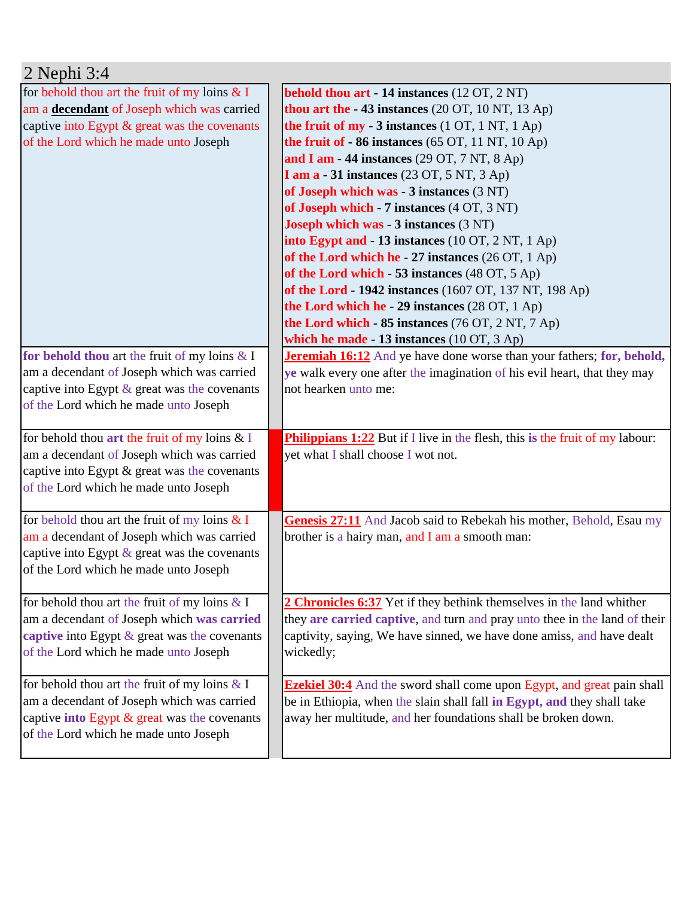| $2$ Nephi $3:4$                                                                               |                                                                                     |
|-----------------------------------------------------------------------------------------------|-------------------------------------------------------------------------------------|
| for behold thou art the fruit of my loins $& I$                                               | <b>behold thou art - 14 instances</b> (12 OT, 2 NT)                                 |
| am a decendant of Joseph which was carried                                                    | thou art the - 43 instances (20 OT, 10 NT, 13 Ap)                                   |
| captive into Egypt & great was the covenants                                                  | the fruit of $my - 3$ instances (1 OT, 1 NT, 1 Ap)                                  |
| of the Lord which he made unto Joseph                                                         | the fruit of $-86$ instances (65 OT, 11 NT, 10 Ap)                                  |
|                                                                                               | and I am - 44 instances $(29 \text{ OT}, 7 \text{ NT}, 8 \text{ Ap})$               |
|                                                                                               | <b>I am a - 31 instances</b> (23 OT, 5 NT, 3 Ap)                                    |
|                                                                                               | of Joseph which was - 3 instances (3 NT)                                            |
|                                                                                               | of Joseph which - 7 instances (4 OT, 3 NT)                                          |
|                                                                                               | <b>Joseph which was - 3 instances (3 NT)</b>                                        |
|                                                                                               | into Egypt and - 13 instances (10 OT, 2 NT, 1 Ap)                                   |
|                                                                                               | of the Lord which he - 27 instances (26 OT, 1 Ap)                                   |
|                                                                                               | of the Lord which - 53 instances (48 OT, 5 Ap)                                      |
|                                                                                               | of the Lord - 1942 instances (1607 OT, 137 NT, 198 Ap)                              |
|                                                                                               | the Lord which he - 29 instances (28 OT, 1 Ap)                                      |
|                                                                                               | the Lord which - 85 instances (76 OT, 2 NT, 7 Ap)                                   |
|                                                                                               | which he made - 13 instances $(10 \text{ OT}, 3 \text{ Ap})$                        |
| for behold thou art the fruit of my loins $& 1$                                               | <b>Jeremiah 16:12</b> And ye have done worse than your fathers; for, behold,        |
| am a decendant of Joseph which was carried                                                    | ye walk every one after the imagination of his evil heart, that they may            |
| captive into Egypt $\&$ great was the covenants                                               | not hearken unto me:                                                                |
| of the Lord which he made unto Joseph                                                         |                                                                                     |
|                                                                                               |                                                                                     |
| for behold thou art the fruit of my loins $& 1$                                               | <b>Philippians 1:22</b> But if I live in the flesh, this is the fruit of my labour: |
| am a decendant of Joseph which was carried                                                    | yet what I shall choose I wot not.                                                  |
| captive into Egypt & great was the covenants                                                  |                                                                                     |
| of the Lord which he made unto Joseph                                                         |                                                                                     |
|                                                                                               |                                                                                     |
| for behold thou art the fruit of my loins $& I$<br>am a decendant of Joseph which was carried | Genesis 27:11 And Jacob said to Rebekah his mother, Behold, Esau my                 |
|                                                                                               | brother is a hairy man, and I am a smooth man:                                      |
| captive into Egypt & great was the covenants                                                  |                                                                                     |
| of the Lord which he made unto Joseph                                                         |                                                                                     |
| for behold thou art the fruit of my loins $& 1$                                               | 2 Chronicles 6:37 Yet if they bethink themselves in the land whither                |
| am a decendant of Joseph which was carried                                                    | they are carried captive, and turn and pray unto thee in the land of their          |
| captive into Egypt $\&$ great was the covenants                                               | captivity, saying, We have sinned, we have done amiss, and have dealt               |
| of the Lord which he made unto Joseph                                                         | wickedly;                                                                           |
|                                                                                               |                                                                                     |
| for behold thou art the fruit of my loins $& 1$                                               | <b>Ezekiel 30:4</b> And the sword shall come upon Egypt, and great pain shall       |
| am a decendant of Joseph which was carried                                                    | be in Ethiopia, when the slain shall fall in Egypt, and they shall take             |
| captive into Egypt $\&$ great was the covenants                                               | away her multitude, and her foundations shall be broken down.                       |
| of the Lord which he made unto Joseph                                                         |                                                                                     |
|                                                                                               |                                                                                     |